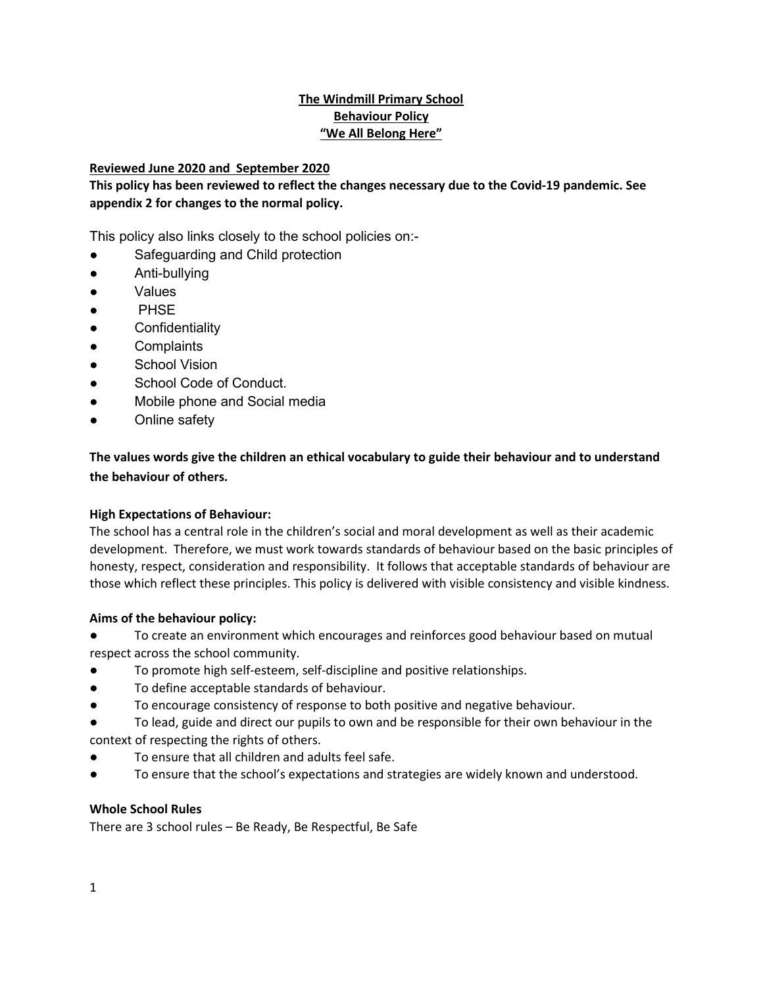## **The Windmill Primary School Behaviour Policy "We All Belong Here"**

## **Reviewed June 2020 and September 2020**

**This policy has been reviewed to reflect the changes necessary due to the Covid-19 pandemic. See appendix 2 for changes to the normal policy.**

This policy also links closely to the school policies on:-

- Safeguarding and Child protection
- Anti-bullying
- Values
- PHSE
- Confidentiality
- Complaints
- School Vision
- School Code of Conduct.
- Mobile phone and Social media
- Online safety

**The values words give the children an ethical vocabulary to guide their behaviour and to understand the behaviour of others.** 

#### **High Expectations of Behaviour:**

The school has a central role in the children's social and moral development as well as their academic development. Therefore, we must work towards standards of behaviour based on the basic principles of honesty, respect, consideration and responsibility. It follows that acceptable standards of behaviour are those which reflect these principles. This policy is delivered with visible consistency and visible kindness.

#### **Aims of the behaviour policy:**

To create an environment which encourages and reinforces good behaviour based on mutual respect across the school community.

- To promote high self-esteem, self-discipline and positive relationships.
- To define acceptable standards of behaviour.
- To encourage consistency of response to both positive and negative behaviour.
- To lead, guide and direct our pupils to own and be responsible for their own behaviour in the context of respecting the rights of others.
- To ensure that all children and adults feel safe.
- To ensure that the school's expectations and strategies are widely known and understood.

#### **Whole School Rules**

There are 3 school rules – Be Ready, Be Respectful, Be Safe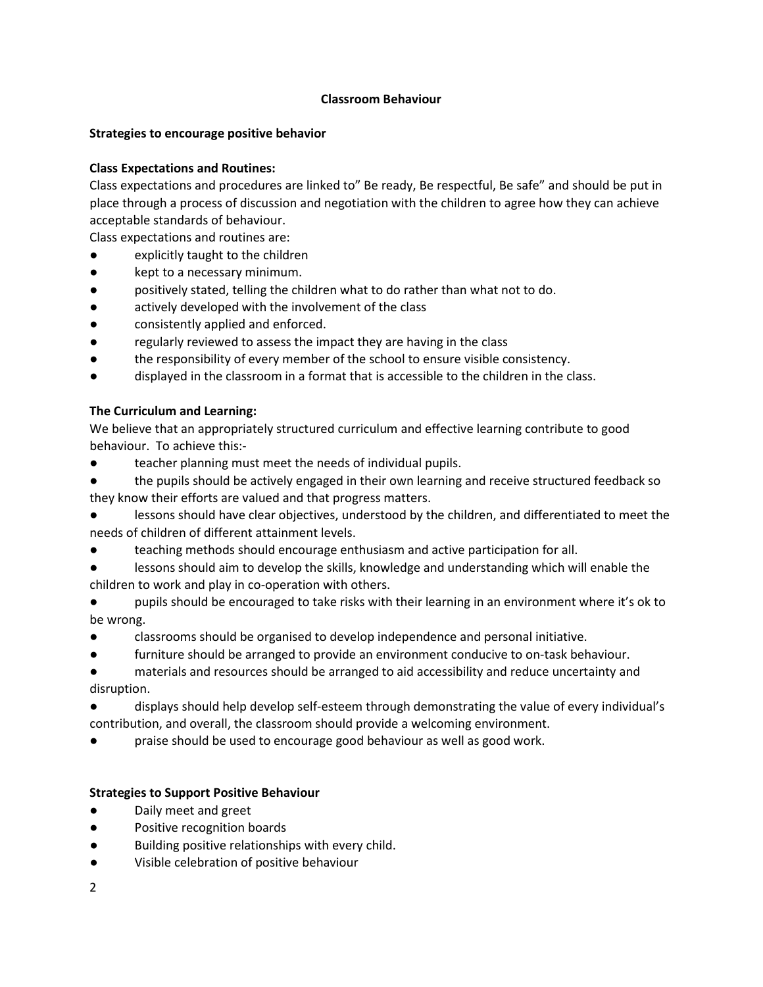## **Classroom Behaviour**

#### **Strategies to encourage positive behavior**

## **Class Expectations and Routines:**

Class expectations and procedures are linked to" Be ready, Be respectful, Be safe" and should be put in place through a process of discussion and negotiation with the children to agree how they can achieve acceptable standards of behaviour.

Class expectations and routines are:

- explicitly taught to the children
- kept to a necessary minimum.
- positively stated, telling the children what to do rather than what not to do.
- actively developed with the involvement of the class
- consistently applied and enforced.
- regularly reviewed to assess the impact they are having in the class
- the responsibility of every member of the school to ensure visible consistency.
- displayed in the classroom in a format that is accessible to the children in the class.

## **The Curriculum and Learning:**

We believe that an appropriately structured curriculum and effective learning contribute to good behaviour. To achieve this:-

- teacher planning must meet the needs of individual pupils.
- the pupils should be actively engaged in their own learning and receive structured feedback so they know their efforts are valued and that progress matters.
- lessons should have clear objectives, understood by the children, and differentiated to meet the needs of children of different attainment levels.
- teaching methods should encourage enthusiasm and active participation for all.
- lessons should aim to develop the skills, knowledge and understanding which will enable the children to work and play in co-operation with others.
- pupils should be encouraged to take risks with their learning in an environment where it's ok to be wrong.
- classrooms should be organised to develop independence and personal initiative.
- furniture should be arranged to provide an environment conducive to on-task behaviour.

materials and resources should be arranged to aid accessibility and reduce uncertainty and disruption.

displays should help develop self-esteem through demonstrating the value of every individual's contribution, and overall, the classroom should provide a welcoming environment.

praise should be used to encourage good behaviour as well as good work.

#### **Strategies to Support Positive Behaviour**

- Daily meet and greet
- Positive recognition boards
- Building positive relationships with every child.
- Visible celebration of positive behaviour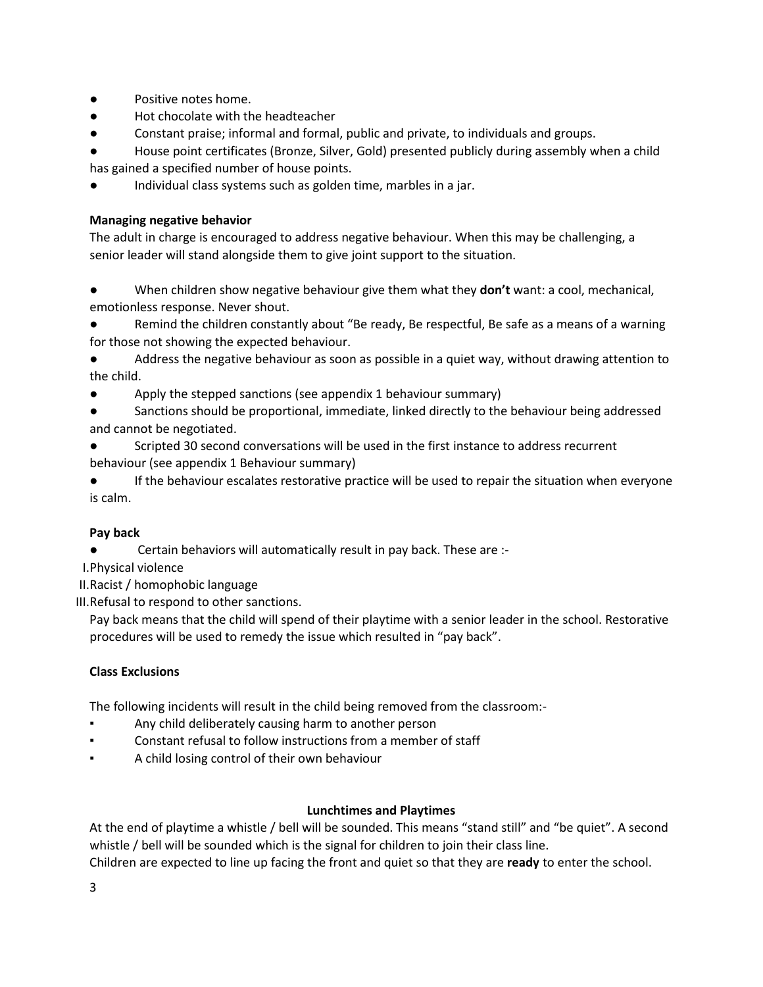- Positive notes home.
- Hot chocolate with the headteacher
- Constant praise; informal and formal, public and private, to individuals and groups.

House point certificates (Bronze, Silver, Gold) presented publicly during assembly when a child has gained a specified number of house points.

Individual class systems such as golden time, marbles in a jar.

## **Managing negative behavior**

The adult in charge is encouraged to address negative behaviour. When this may be challenging, a senior leader will stand alongside them to give joint support to the situation.

When children show negative behaviour give them what they **don't** want: a cool, mechanical, emotionless response. Never shout.

Remind the children constantly about "Be ready, Be respectful, Be safe as a means of a warning for those not showing the expected behaviour.

Address the negative behaviour as soon as possible in a quiet way, without drawing attention to the child.

- Apply the stepped sanctions (see appendix 1 behaviour summary)
- Sanctions should be proportional, immediate, linked directly to the behaviour being addressed and cannot be negotiated.
- Scripted 30 second conversations will be used in the first instance to address recurrent behaviour (see appendix 1 Behaviour summary)

If the behaviour escalates restorative practice will be used to repair the situation when everyone is calm.

## **Pay back**

Certain behaviors will automatically result in pay back. These are :-

I.Physical violence

II.Racist / homophobic language

III.Refusal to respond to other sanctions.

Pay back means that the child will spend of their playtime with a senior leader in the school. Restorative procedures will be used to remedy the issue which resulted in "pay back".

#### **Class Exclusions**

The following incidents will result in the child being removed from the classroom:-

- Any child deliberately causing harm to another person
- Constant refusal to follow instructions from a member of staff
- A child losing control of their own behaviour

#### **Lunchtimes and Playtimes**

At the end of playtime a whistle / bell will be sounded. This means "stand still" and "be quiet". A second whistle / bell will be sounded which is the signal for children to join their class line.

Children are expected to line up facing the front and quiet so that they are **ready** to enter the school.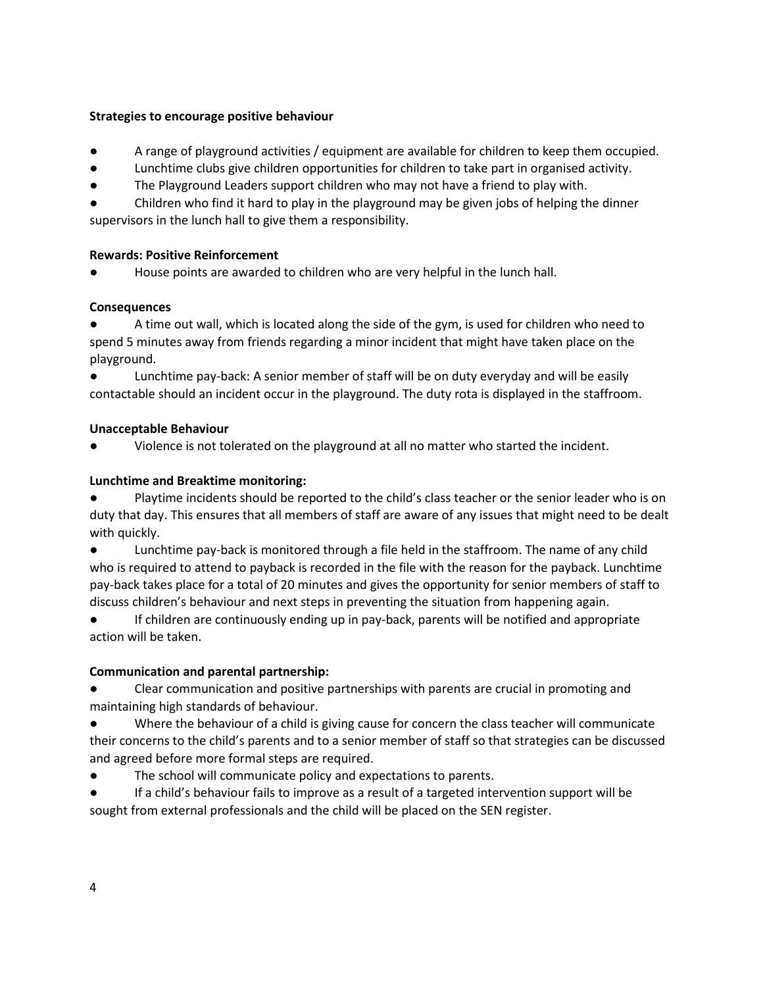## **Strategies to encourage positive behaviour**

- A range of playground activities / equipment are available for children to keep them occupied.
- Lunchtime clubs give children opportunities for children to take part in organised activity.
- The Playground Leaders support children who may not have a friend to play with.
- Children who find it hard to play in the playground may be given jobs of helping the dinner supervisors in the lunch hall to give them a responsibility.

## **Rewards: Positive Reinforcement**

House points are awarded to children who are very helpful in the lunch hall.

## **Consequences**

A time out wall, which is located along the side of the gym, is used for children who need to spend 5 minutes away from friends regarding a minor incident that might have taken place on the playground.

● Lunchtime pay-back: A senior member of staff will be on duty everyday and will be easily contactable should an incident occur in the playground. The duty rota is displayed in the staffroom.

## **Unacceptable Behaviour**

Violence is not tolerated on the playground at all no matter who started the incident.

## **Lunchtime and Breaktime monitoring:**

Playtime incidents should be reported to the child's class teacher or the senior leader who is on duty that day. This ensures that all members of staff are aware of any issues that might need to be dealt with quickly.

Lunchtime pay-back is monitored through a file held in the staffroom. The name of any child who is required to attend to payback is recorded in the file with the reason for the payback. Lunchtime pay-back takes place for a total of 20 minutes and gives the opportunity for senior members of staff to discuss children's behaviour and next steps in preventing the situation from happening again.

If children are continuously ending up in pay-back, parents will be notified and appropriate action will be taken.

## **Communication and parental partnership:**

Clear communication and positive partnerships with parents are crucial in promoting and maintaining high standards of behaviour.

Where the behaviour of a child is giving cause for concern the class teacher will communicate their concerns to the child's parents and to a senior member of staff so that strategies can be discussed and agreed before more formal steps are required.

The school will communicate policy and expectations to parents.

If a child's behaviour fails to improve as a result of a targeted intervention support will be sought from external professionals and the child will be placed on the SEN register.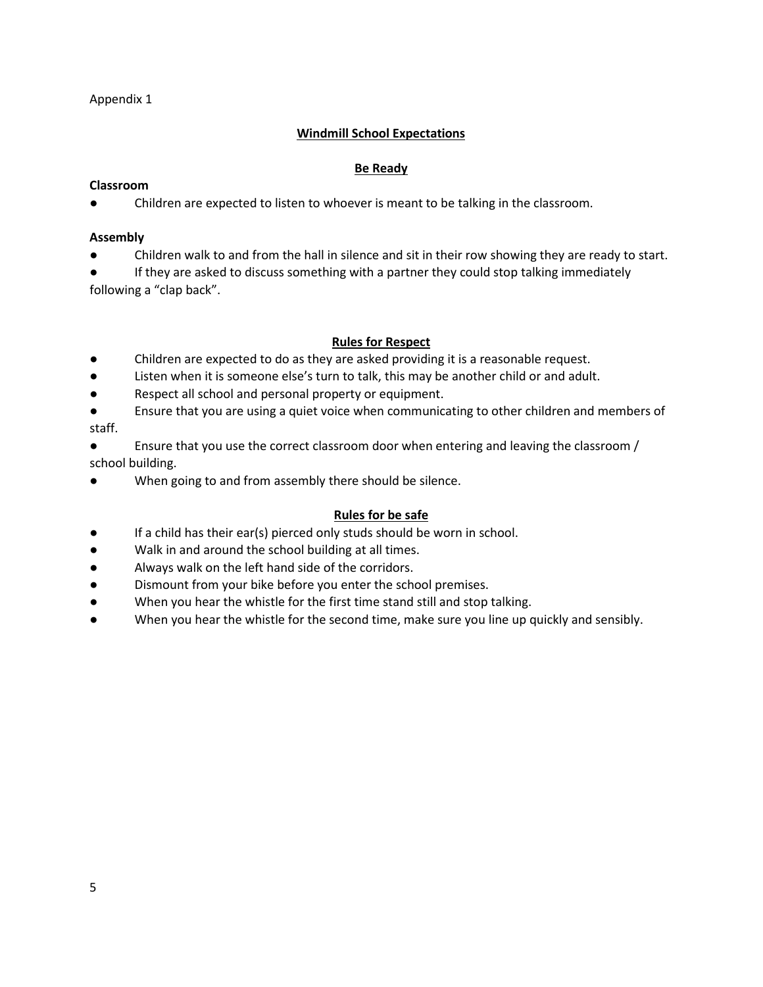## Appendix 1

## **Windmill School Expectations**

#### **Be Ready**

#### **Classroom**

Children are expected to listen to whoever is meant to be talking in the classroom.

#### **Assembly**

Children walk to and from the hall in silence and sit in their row showing they are ready to start.

● If they are asked to discuss something with a partner they could stop talking immediately following a "clap back".

#### **Rules for Respect**

- Children are expected to do as they are asked providing it is a reasonable request.
- Listen when it is someone else's turn to talk, this may be another child or and adult.
- Respect all school and personal property or equipment.
- Ensure that you are using a quiet voice when communicating to other children and members of staff.
- Ensure that you use the correct classroom door when entering and leaving the classroom / school building.
- When going to and from assembly there should be silence.

#### **Rules for be safe**

- If a child has their ear(s) pierced only studs should be worn in school.
- Walk in and around the school building at all times.
- Always walk on the left hand side of the corridors.
- Dismount from your bike before you enter the school premises.
- When you hear the whistle for the first time stand still and stop talking.
- When you hear the whistle for the second time, make sure you line up quickly and sensibly.